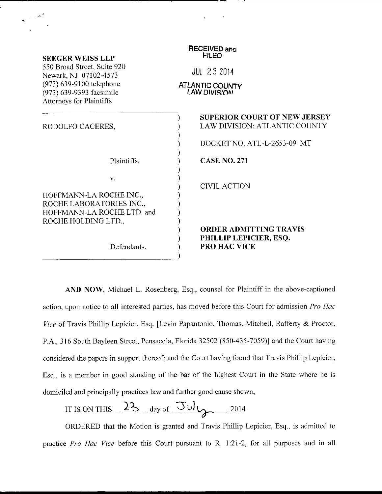| <b>SEEGER WEISS LLP</b>                                                          | <b>RECEIVED and</b><br><b>FILED</b>                                     |
|----------------------------------------------------------------------------------|-------------------------------------------------------------------------|
| 550 Broad Street, Suite 920<br>Newark, NJ 07102-4573                             | <b>JUL 23 2014</b>                                                      |
| (973) 639-9100 telephone<br>(973) 639-9393 facsimile<br>Attorneys for Plaintiffs | <b>ATLANTIC COUNTY</b><br>LAW DIVISION                                  |
| RODOLFO CACERES,                                                                 | <b>SUPERIOR COURT OF NEW JERSEY</b><br>LAW DIVISION: ATLANTIC COUNTY    |
|                                                                                  | DOCKET NO. ATL-L-2653-09 MT                                             |
| Plaintiffs,                                                                      | <b>CASE NO. 271</b>                                                     |
| V.<br>HOFFMANN-LA ROCHE INC.,<br>ROCHE LABORATORIES INC.,                        | <b>CIVIL ACTION</b>                                                     |
| HOFFMANN-LA ROCHE LTD. and<br>ROCHE HOLDING LTD.,<br>Defendants.                 | <b>ORDER ADMITTING TRAVIS</b><br>PHILLIP LEPICIER, ESQ.<br>PRO HAC VICE |

AND NOW, Michael L. Rosenberg, Esq., counsel for Plaintiff in the above-captioned action, upon notice to all interested parties, has moved before this Court for admission Pro Hac Vice of Travis Phillip Lepicier, Esq. [Levin Papantonio, Thomas, Mitchell, Rafferty & Proctor, P.A., 316 South Bayleen Street, Pensacola, Florida 32502 (850-435-7059)] and the Court having considered the papers in support thereof; and the Court having found that Travis Phillip Lepicier, Esq., is a member in good standing of the bar of the highest Court in the State where he is domiciled and principally practices law and further good cause shown,

IT IS ON THIS 
$$
23
$$
 day of  $30\frac{1}{2}$ 

ORDERED that the Motion is granted and Travis Phillip Lepicier, Esq., is admitted to practice Pro Hac Vice before this Court pursuant to R. 1:21-2, for all purposes and in all